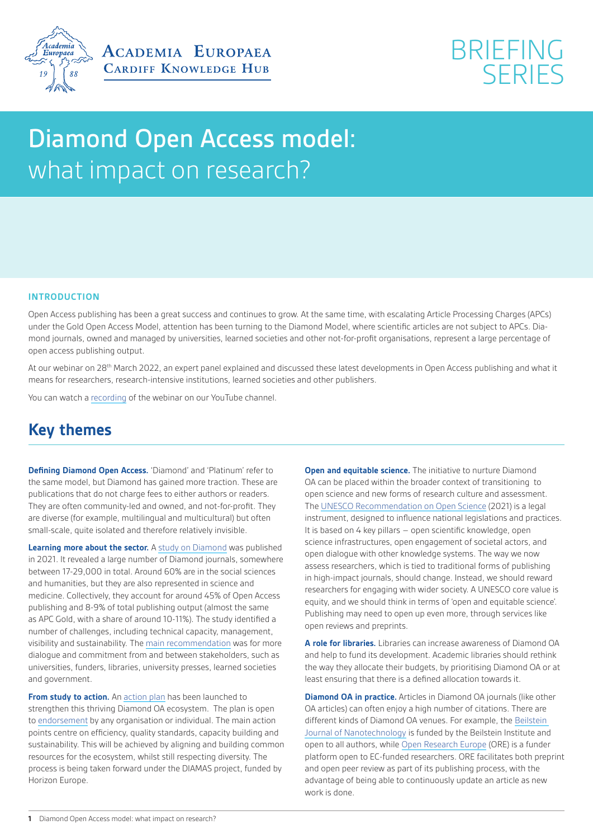



# Diamond Open Access model: what impact on research?

### **INTRODUCTION**

Open Access publishing has been a great success and continues to grow. At the same time, with escalating Article Processing Charges (APCs) under the Gold Open Access Model, attention has been turning to the Diamond Model, where scientific articles are not subject to APCs. Diamond journals, owned and managed by universities, learned societies and other not-for-profit organisations, represent a large percentage of open access publishing output.

At our webinar on 28<sup>th</sup> March 2022, an expert panel explained and discussed these latest developments in Open Access publishing and what it means for researchers, research-intensive institutions, learned societies and other publishers.

You can watch a [recording](https://www.youtube.com/watch?v=SDmM-nN7QBI&t=906s) of the webinar on our YouTube channel.

## **Key themes**

**Defining Diamond Open Access.** 'Diamond' and 'Platinum' refer to the same model, but Diamond has gained more traction. These are publications that do not charge fees to either authors or readers. They are often community-led and owned, and not-for-profit. They are diverse (for example, multilingual and multicultural) but often small-scale, quite isolated and therefore relatively invisible.

**Learning more about the sector.** A [study on Diamond](https://doi.org/10.5281/zenodo.4558704) was published in 2021. It revealed a large number of Diamond journals, somewhere between 17-29,000 in total. Around 60% are in the social sciences and humanities, but they are also represented in science and medicine. Collectively, they account for around 45% of Open Access publishing and 8-9% of total publishing output (almost the same as APC Gold, with a share of around 10-11%). The study identified a number of challenges, including technical capacity, management, visibility and sustainability. The [main recommendation](https://zenodo.org/record/4562790#.YkwB0NvMI2w) was for more dialogue and commitment from and between stakeholders, such as universities, funders, libraries, university presses, learned societies and government.

**From study to action.** An [action plan](https://doi.org/10.5281/zenodo.6282402) has been launched to strengthen this thriving Diamond OA ecosystem. The plan is open to [endorsement](https://surveys.scienceeurope.org/index.php/241774) by any organisation or individual. The main action points centre on efficiency, quality standards, capacity building and sustainability. This will be achieved by aligning and building common resources for the ecosystem, whilst still respecting diversity. The process is being taken forward under the DIAMAS project, funded by Horizon Europe.

**Open and equitable science.** The initiative to nurture Diamond OA can be placed within the broader context of transitioning to open science and new forms of research culture and assessment. The [UNESCO Recommendation on Open Science](https://en.unesco.org/science-sustainable-future/open-science/recommendation) (2021) is a legal instrument, designed to influence national legislations and practices. It is based on 4 key pillars – open scientific knowledge, open science infrastructures, open engagement of societal actors, and open dialogue with other knowledge systems. The way we now assess researchers, which is tied to traditional forms of publishing in high-impact journals, should change. Instead, we should reward researchers for engaging with wider society. A UNESCO core value is equity, and we should think in terms of 'open and equitable science'. Publishing may need to open up even more, through services like open reviews and preprints.

**A role for libraries.** Libraries can increase awareness of Diamond OA and help to fund its development. Academic libraries should rethink the way they allocate their budgets, by prioritising Diamond OA or at least ensuring that there is a defined allocation towards it.

**Diamond OA in practice.** Articles in Diamond OA journals (like other OA articles) can often enjoy a high number of citations. There are different kinds of Diamond OA venues. For example, the [Beilstein](https://eur03.safelinks.protection.outlook.com/?url=https%3A%2F%2Fwww.beilstein-journals.org%2Fbjnano%2Fhome&data=04%7C01%7CEdwardsL31%40cardiff.ac.uk%7C6c64c145a4134f3778b708da170781fb%7Cbdb74b3095684856bdbf06759778fcbc%7C1%7C0%7C637847619154232371%7CUnknown%7CTWFpbGZsb3d8eyJWIjoiMC4wLjAwMDAiLCJQIjoiV2luMzIiLCJBTiI6Ik1haWwiLCJXVCI6Mn0%3D%7C3000&sdata=KZWAOvxvfD%2Fn1olBJx0R7IuQSU85AFUqZG80wjJT6Ng%3D&reserved=0)  [Journal of Nanotechnology](https://eur03.safelinks.protection.outlook.com/?url=https%3A%2F%2Fwww.beilstein-journals.org%2Fbjnano%2Fhome&data=04%7C01%7CEdwardsL31%40cardiff.ac.uk%7C6c64c145a4134f3778b708da170781fb%7Cbdb74b3095684856bdbf06759778fcbc%7C1%7C0%7C637847619154232371%7CUnknown%7CTWFpbGZsb3d8eyJWIjoiMC4wLjAwMDAiLCJQIjoiV2luMzIiLCJBTiI6Ik1haWwiLCJXVCI6Mn0%3D%7C3000&sdata=KZWAOvxvfD%2Fn1olBJx0R7IuQSU85AFUqZG80wjJT6Ng%3D&reserved=0) is funded by the Beilstein Institute and open to all authors, while [Open Research Europe](https://eur03.safelinks.protection.outlook.com/?url=https%3A%2F%2Fopen-research-europe.ec.europa.eu%2F&data=04%7C01%7CEdwardsL31%40cardiff.ac.uk%7C6c64c145a4134f3778b708da170781fb%7Cbdb74b3095684856bdbf06759778fcbc%7C1%7C0%7C637847619154232371%7CUnknown%7CTWFpbGZsb3d8eyJWIjoiMC4wLjAwMDAiLCJQIjoiV2luMzIiLCJBTiI6Ik1haWwiLCJXVCI6Mn0%3D%7C3000&sdata=k%2FZAgDCJW7SJvEiqqlwRTR0OE8NXU4svpF38GVRng9U%3D&reserved=0) (ORE) is a funder platform open to EC-funded researchers. ORE facilitates both preprint and open peer review as part of its publishing process, with the advantage of being able to continuously update an article as new work is done.